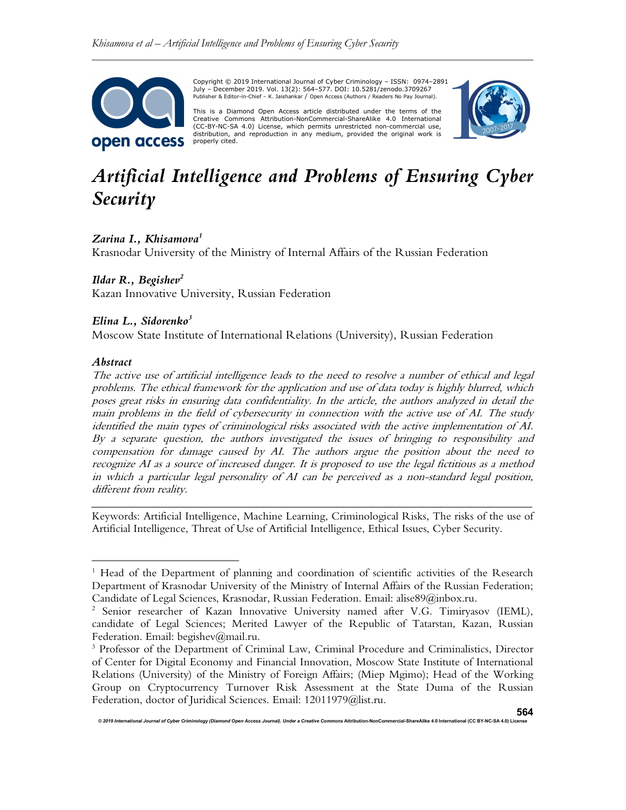

Copyright © 2019 International Journal of Cyber Criminology – ISSN: 0974–2891 July – December 2019. Vol. 13(2): 564–577. DOI: 10.5281/zenodo.3709267 Publisher & Editor-in-Chief – K. Jaishankar / Open Access (Authors / Readers No Pay Journal).

This is a Diamond Open Access article distributed under the terms of the Creative Commons Attribution-NonCommercial-ShareAlike 4.0 International (CC-BY-NC-SA 4.0) License, which permits unrestricted non-commercial use, distribution, and reproduction in any medium, provided the original work is properly cited.



# Artificial Intelligence and Problems of Ensuring Cyber Security

## Zarina I., Khisamova<sup>1</sup>

Krasnodar University of the Ministry of Internal Affairs of the Russian Federation

## Ildar R., Begishev<sup>2</sup>

Kazan Innovative University, Russian Federation

# Elina L., Sidorenko<sup>3</sup>

Moscow State Institute of International Relations (University), Russian Federation

## Abstract

The active use of artificial intelligence leads to the need to resolve a number of ethical and legal problems. The ethical framework for the application and use of data today is highly blurred, which poses great risks in ensuring data confidentiality. In the article, the authors analyzed in detail the main problems in the field of cybersecurity in connection with the active use of AI. The study identified the main types of criminological risks associated with the active implementation of AI. By a separate question, the authors investigated the issues of bringing to responsibility and compensation for damage caused by AI. The authors argue the position about the need to recognize AI as a source of increased danger. It is proposed to use the legal fictitious as a method in which a particular legal personality of AI can be perceived as a non-standard legal position, different from reality.

\_\_\_\_\_\_\_\_\_\_\_\_\_\_\_\_\_\_\_\_\_\_\_\_\_\_\_\_\_\_\_\_\_\_\_\_\_\_\_\_\_\_\_\_\_\_\_\_\_\_\_\_\_\_\_\_\_\_\_\_\_\_\_\_\_\_\_\_\_\_\_\_ Keywords: Artificial Intelligence, Machine Learning, Criminological Risks, The risks of the use of Artificial Intelligence, Threat of Use of Artificial Intelligence, Ethical Issues, Cyber Security.

.<br>International Orthology (Diamond Open Access Journal). Under a Creative Commercial-

<sup>&</sup>lt;sup>1</sup> Head of the Department of planning and coordination of scientific activities of the Research Department of Krasnodar University of the Ministry of Internal Affairs of the Russian Federation; Candidate of Legal Sciences, Krasnodar, Russian Federation. Email: alise89@inbox.ru.

<sup>&</sup>lt;sup>2</sup> Senior researcher of Kazan Innovative University named after V.G. Timiryasov (IEML), candidate of Legal Sciences; Merited Lawyer of the Republic of Tatarstan, Kazan, Russian Federation. Email: begishev@mail.ru.

<sup>&</sup>lt;sup>3</sup> Professor of the Department of Criminal Law, Criminal Procedure and Criminalistics, Director of Center for Digital Economy and Financial Innovation, Moscow State Institute of International Relations (University) of the Ministry of Foreign Affairs; (Miep Mgimo); Head of the Working Group on Cryptocurrency Turnover Risk Assessment at the State Duma of the Russian Federation, doctor of Juridical Sciences. Email: 12011979@list.ru.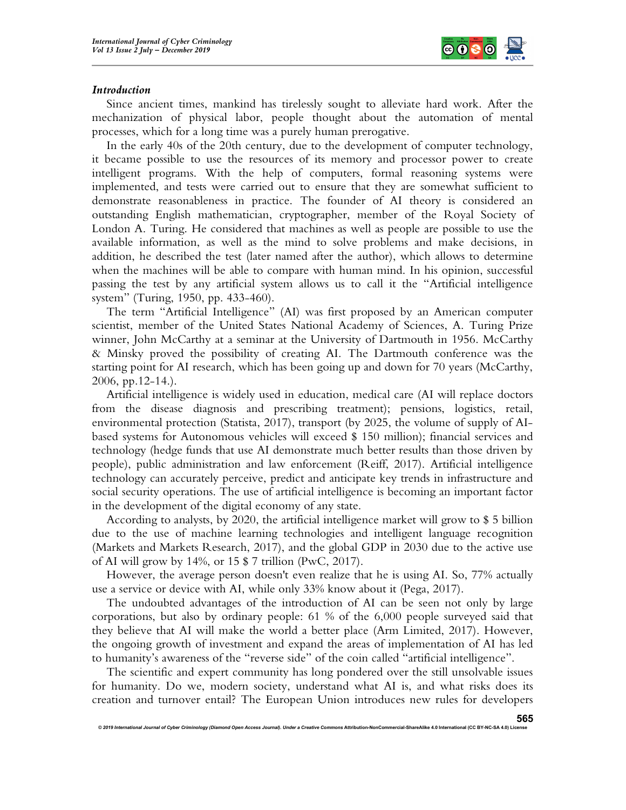

## Introduction

Since ancient times, mankind has tirelessly sought to alleviate hard work. After the mechanization of physical labor, people thought about the automation of mental processes, which for a long time was a purely human prerogative.

In the early 40s of the 20th century, due to the development of computer technology, it became possible to use the resources of its memory and processor power to create intelligent programs. With the help of computers, formal reasoning systems were implemented, and tests were carried out to ensure that they are somewhat sufficient to demonstrate reasonableness in practice. The founder of AI theory is considered an outstanding English mathematician, cryptographer, member of the Royal Society of London A. Turing. He considered that machines as well as people are possible to use the available information, as well as the mind to solve problems and make decisions, in addition, he described the test (later named after the author), which allows to determine when the machines will be able to compare with human mind. In his opinion, successful passing the test by any artificial system allows us to call it the "Artificial intelligence system" (Turing, 1950, pp. 433-460).

The term "Artificial Intelligence" (AI) was first proposed by an American computer scientist, member of the United States National Academy of Sciences, A. Turing Prize winner, John McCarthy at a seminar at the University of Dartmouth in 1956. McCarthy & Minsky proved the possibility of creating AI. The Dartmouth conference was the starting point for AI research, which has been going up and down for 70 years (McCarthy, 2006, pp.12-14.).

Artificial intelligence is widely used in education, medical care (AI will replace doctors from the disease diagnosis and prescribing treatment); pensions, logistics, retail, environmental protection (Statista, 2017), transport (by 2025, the volume of supply of AIbased systems for Autonomous vehicles will exceed \$ 150 million); financial services and technology (hedge funds that use AI demonstrate much better results than those driven by people), public administration and law enforcement (Reiff, 2017). Artificial intelligence technology can accurately perceive, predict and anticipate key trends in infrastructure and social security operations. The use of artificial intelligence is becoming an important factor in the development of the digital economy of any state.

According to analysts, by 2020, the artificial intelligence market will grow to \$ 5 billion due to the use of machine learning technologies and intelligent language recognition (Markets and Markets Research, 2017), and the global GDP in 2030 due to the active use of AI will grow by 14%, or 15 \$ 7 trillion (PwC, 2017).

However, the average person doesn't even realize that he is using AI. So, 77% actually use a service or device with AI, while only 33% know about it (Pega, 2017).

The undoubted advantages of the introduction of AI can be seen not only by large corporations, but also by ordinary people: 61 % of the 6,000 people surveyed said that they believe that AI will make the world a better place (Arm Limited, 2017). However, the ongoing growth of investment and expand the areas of implementation of AI has led to humanity's awareness of the "reverse side" of the coin called "artificial intelligence".

The scientific and expert community has long pondered over the still unsolvable issues for humanity. Do we, modern society, understand what AI is, and what risks does its creation and turnover entail? The European Union introduces new rules for developers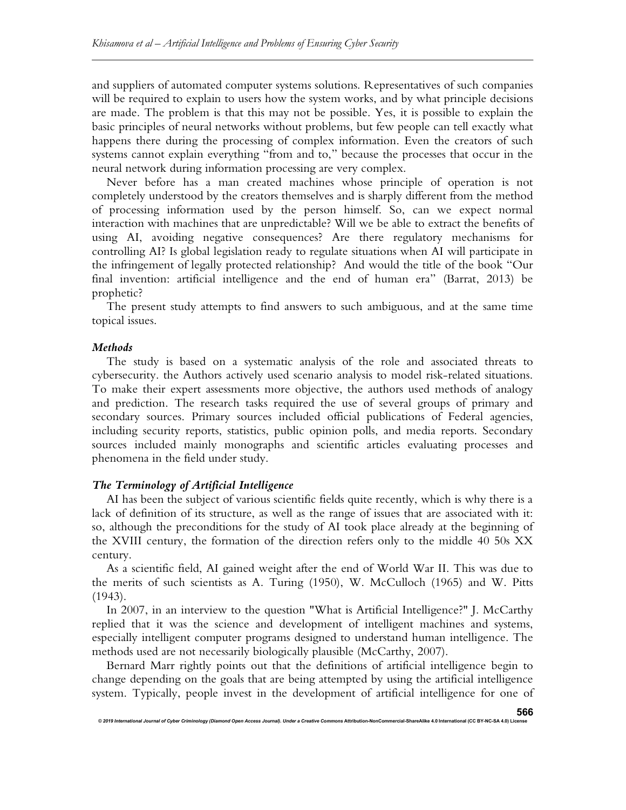and suppliers of automated computer systems solutions. Representatives of such companies will be required to explain to users how the system works, and by what principle decisions are made. The problem is that this may not be possible. Yes, it is possible to explain the basic principles of neural networks without problems, but few people can tell exactly what happens there during the processing of complex information. Even the creators of such systems cannot explain everything "from and to," because the processes that occur in the neural network during information processing are very complex.

Never before has a man created machines whose principle of operation is not completely understood by the creators themselves and is sharply different from the method of processing information used by the person himself. So, can we expect normal interaction with machines that are unpredictable? Will we be able to extract the benefits of using AI, avoiding negative consequences? Are there regulatory mechanisms for controlling AI? Is global legislation ready to regulate situations when AI will participate in the infringement of legally protected relationship? And would the title of the book "Our final invention: artificial intelligence and the end of human era" (Barrat, 2013) be prophetic?

The present study attempts to find answers to such ambiguous, and at the same time topical issues.

## **Methods**

The study is based on a systematic analysis of the role and associated threats to cybersecurity. the Authors actively used scenario analysis to model risk-related situations. To make their expert assessments more objective, the authors used methods of analogy and prediction. The research tasks required the use of several groups of primary and secondary sources. Primary sources included official publications of Federal agencies, including security reports, statistics, public opinion polls, and media reports. Secondary sources included mainly monographs and scientific articles evaluating processes and phenomena in the field under study.

# The Terminology of Artificial Intelligence

© 2019 International Journal of Cyber Criminology (Diamond Open Access Journal). Under a Creative Comr

AI has been the subject of various scientific fields quite recently, which is why there is a lack of definition of its structure, as well as the range of issues that are associated with it: so, although the preconditions for the study of AI took place already at the beginning of the XVIII century, the formation of the direction refers only to the middle 40 50s XX century.

As a scientific field, AI gained weight after the end of World War II. This was due to the merits of such scientists as A. Turing (1950), W. McCulloch (1965) and W. Pitts (1943).

In 2007, in an interview to the question "What is Artificial Intelligence?" J. McCarthy replied that it was the science and development of intelligent machines and systems, especially intelligent computer programs designed to understand human intelligence. The methods used are not necessarily biologically plausible (McCarthy, 2007).

Bernard Marr rightly points out that the definitions of artificial intelligence begin to change depending on the goals that are being attempted by using the artificial intelligence system. Typically, people invest in the development of artificial intelligence for one of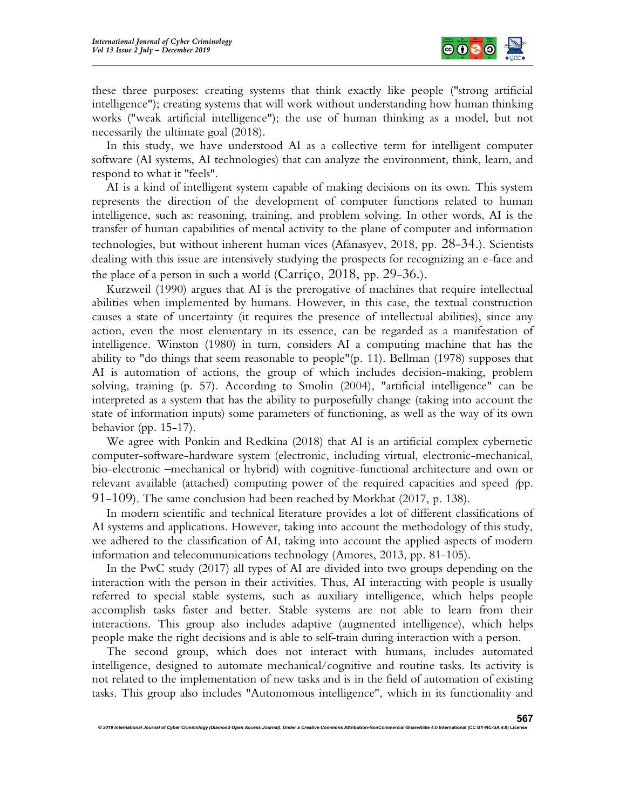

these three purposes: creating systems that think exactly like people ("strong artificial intelligence"); creating systems that will work without understanding how human thinking works ("weak artificial intelligence"); the use of human thinking as a model, but not necessarily the ultimate goal (2018).

In this study, we have understood AI as a collective term for intelligent computer software (AI systems, AI technologies) that can analyze the environment, think, learn, and respond to what it "feels".

AI is a kind of intelligent system capable of making decisions on its own. This system represents the direction of the development of computer functions related to human intelligence, such as: reasoning, training, and problem solving. In other words, AI is the transfer of human capabilities of mental activity to the plane of computer and information technologies, but without inherent human vices (Afanasyev, 2018, pp. 28-34.). Scientists dealing with this issue are intensively studying the prospects for recognizing an e-face and the place of a person in such a world (Carriço, 2018, pp. 29-36.).

Kurzweil (1990) argues that AI is the prerogative of machines that require intellectual abilities when implemented by humans. However, in this case, the textual construction causes a state of uncertainty (it requires the presence of intellectual abilities), since any action, even the most elementary in its essence, can be regarded as a manifestation of intelligence. Winston (1980) in turn, considers AI a computing machine that has the ability to "do things that seem reasonable to people"(p. 11). Bellman (1978) supposes that AI is automation of actions, the group of which includes decision-making, problem solving, training (p. 57). According to Smolin (2004), "artificial intelligence" can be interpreted as a system that has the ability to purposefully change (taking into account the state of information inputs) some parameters of functioning, as well as the way of its own behavior (pp. 15-17).

We agree with Ponkin and Redkina (2018) that AI is an artificial complex cybernetic computer-software-hardware system (electronic, including virtual, electronic-mechanical, bio-electronic –mechanical or hybrid) with cognitive-functional architecture and own or relevant available (attached) computing power of the required capacities and speed (pp. 91-109). The same conclusion had been reached by Morkhat (2017, p. 138).

In modern scientific and technical literature provides a lot of different classifications of AI systems and applications. However, taking into account the methodology of this study, we adhered to the classification of AI, taking into account the applied aspects of modern information and telecommunications technology (Amores, 2013, pp. 81-105).

In the PwC study (2017) all types of AI are divided into two groups depending on the interaction with the person in their activities. Thus, AI interacting with people is usually referred to special stable systems, such as auxiliary intelligence, which helps people accomplish tasks faster and better. Stable systems are not able to learn from their interactions. This group also includes adaptive (augmented intelligence), which helps people make the right decisions and is able to self-train during interaction with a person.

The second group, which does not interact with humans, includes automated intelligence, designed to automate mechanical/cognitive and routine tasks. Its activity is not related to the implementation of new tasks and is in the field of automation of existing tasks. This group also includes "Autonomous intelligence", which in its functionality and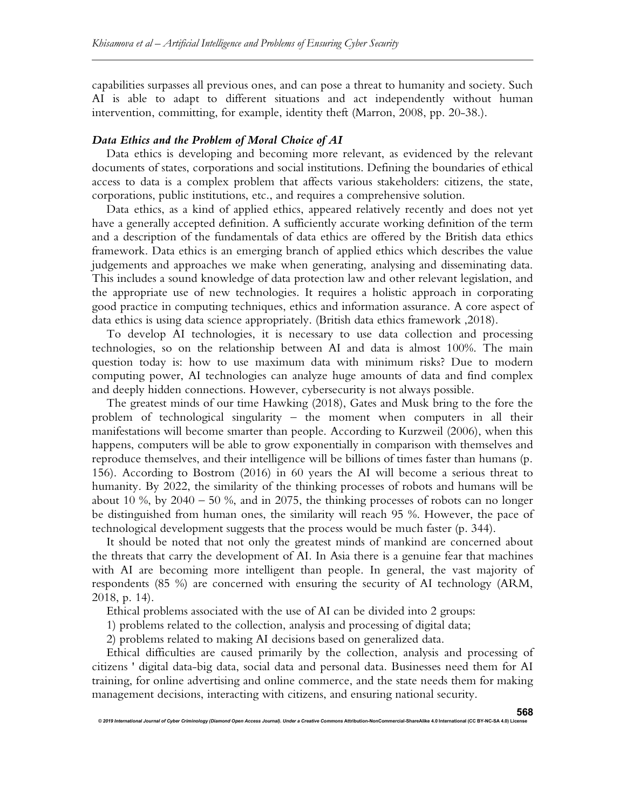capabilities surpasses all previous ones, and can pose a threat to humanity and society. Such AI is able to adapt to different situations and act independently without human intervention, committing, for example, identity theft (Marron, 2008, pp. 20-38.).

## Data Ethics and the Problem of Moral Choice of AI

Data ethics is developing and becoming more relevant, as evidenced by the relevant documents of states, corporations and social institutions. Defining the boundaries of ethical access to data is a complex problem that affects various stakeholders: citizens, the state, corporations, public institutions, etc., and requires a comprehensive solution.

Data ethics, as a kind of applied ethics, appeared relatively recently and does not yet have a generally accepted definition. A sufficiently accurate working definition of the term and a description of the fundamentals of data ethics are offered by the British data ethics framework. Data ethics is an emerging branch of applied ethics which describes the value judgements and approaches we make when generating, analysing and disseminating data. This includes a sound knowledge of data protection law and other relevant legislation, and the appropriate use of new technologies. It requires a holistic approach in corporating good practice in computing techniques, ethics and information assurance. A core aspect of data ethics is using data science appropriately. (British data ethics framework ,2018).

To develop AI technologies, it is necessary to use data collection and processing technologies, so on the relationship between AI and data is almost 100%. The main question today is: how to use maximum data with minimum risks? Due to modern computing power, AI technologies can analyze huge amounts of data and find complex and deeply hidden connections. However, cybersecurity is not always possible.

The greatest minds of our time Hawking (2018), Gates and Musk bring to the fore the problem of technological singularity – the moment when computers in all their manifestations will become smarter than people. According to Kurzweil (2006), when this happens, computers will be able to grow exponentially in comparison with themselves and reproduce themselves, and their intelligence will be billions of times faster than humans (p. 156). According to Bostrom (2016) in 60 years the AI will become a serious threat to humanity. By 2022, the similarity of the thinking processes of robots and humans will be about 10 %, by  $2040 - 50$  %, and in 2075, the thinking processes of robots can no longer be distinguished from human ones, the similarity will reach 95 %. However, the pace of technological development suggests that the process would be much faster (p. 344).

It should be noted that not only the greatest minds of mankind are concerned about the threats that carry the development of AI. In Asia there is a genuine fear that machines with AI are becoming more intelligent than people. In general, the vast majority of respondents (85 %) are concerned with ensuring the security of AI technology (ARM, 2018, p. 14).

Ethical problems associated with the use of AI can be divided into 2 groups:

1) problems related to the collection, analysis and processing of digital data;

2) problems related to making AI decisions based on generalized data.

.<br>2019 International of Cyber Criminology (Diamond Open Access Journal). Under a Creative Comm

Ethical difficulties are caused primarily by the collection, analysis and processing of citizens ' digital data-big data, social data and personal data. Businesses need them for AI training, for online advertising and online commerce, and the state needs them for making management decisions, interacting with citizens, and ensuring national security.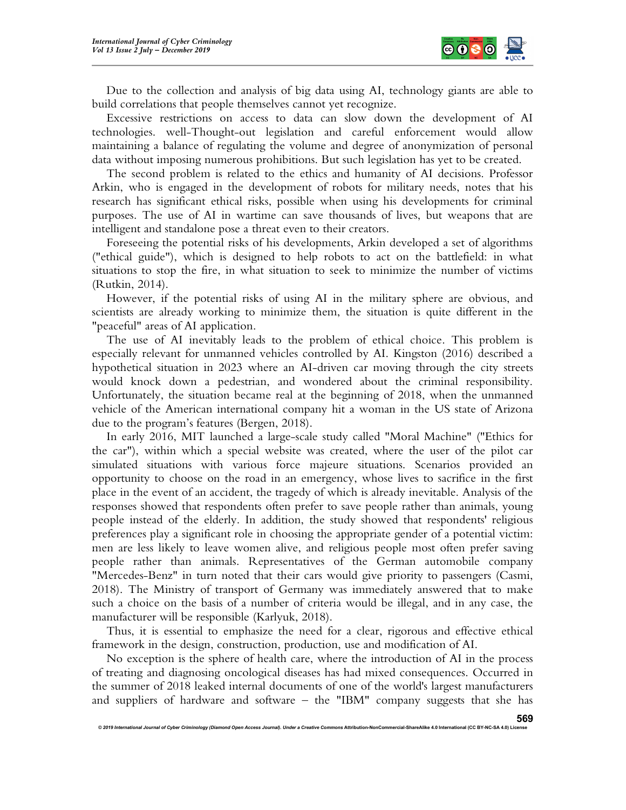

Due to the collection and analysis of big data using AI, technology giants are able to build correlations that people themselves cannot yet recognize.

Excessive restrictions on access to data can slow down the development of AI technologies. well-Thought-out legislation and careful enforcement would allow maintaining a balance of regulating the volume and degree of anonymization of personal data without imposing numerous prohibitions. But such legislation has yet to be created.

The second problem is related to the ethics and humanity of AI decisions. Professor Arkin, who is engaged in the development of robots for military needs, notes that his research has significant ethical risks, possible when using his developments for criminal purposes. The use of AI in wartime can save thousands of lives, but weapons that are intelligent and standalone pose a threat even to their creators.

Foreseeing the potential risks of his developments, Arkin developed a set of algorithms ("ethical guide"), which is designed to help robots to act on the battlefield: in what situations to stop the fire, in what situation to seek to minimize the number of victims (Rutkin, 2014).

However, if the potential risks of using AI in the military sphere are obvious, and scientists are already working to minimize them, the situation is quite different in the "peaceful" areas of AI application.

The use of AI inevitably leads to the problem of ethical choice. This problem is especially relevant for unmanned vehicles controlled by AI. Kingston (2016) described a hypothetical situation in 2023 where an AI-driven car moving through the city streets would knock down a pedestrian, and wondered about the criminal responsibility. Unfortunately, the situation became real at the beginning of 2018, when the unmanned vehicle of the American international company hit a woman in the US state of Arizona due to the program's features (Bergen, 2018).

In early 2016, MIT launched a large-scale study called "Moral Machine" ("Ethics for the car"), within which a special website was created, where the user of the pilot car simulated situations with various force majeure situations. Scenarios provided an opportunity to choose on the road in an emergency, whose lives to sacrifice in the first place in the event of an accident, the tragedy of which is already inevitable. Analysis of the responses showed that respondents often prefer to save people rather than animals, young people instead of the elderly. In addition, the study showed that respondents' religious preferences play a significant role in choosing the appropriate gender of a potential victim: men are less likely to leave women alive, and religious people most often prefer saving people rather than animals. Representatives of the German automobile company "Mercedes-Benz" in turn noted that their cars would give priority to passengers (Casmi, 2018). The Ministry of transport of Germany was immediately answered that to make such a choice on the basis of a number of criteria would be illegal, and in any case, the manufacturer will be responsible (Karlyuk, 2018).

Thus, it is essential to emphasize the need for a clear, rigorous and effective ethical framework in the design, construction, production, use and modification of AI.

No exception is the sphere of health care, where the introduction of AI in the process of treating and diagnosing oncological diseases has had mixed consequences. Occurred in the summer of 2018 leaked internal documents of one of the world's largest manufacturers and suppliers of hardware and software – the "IBM" company suggests that she has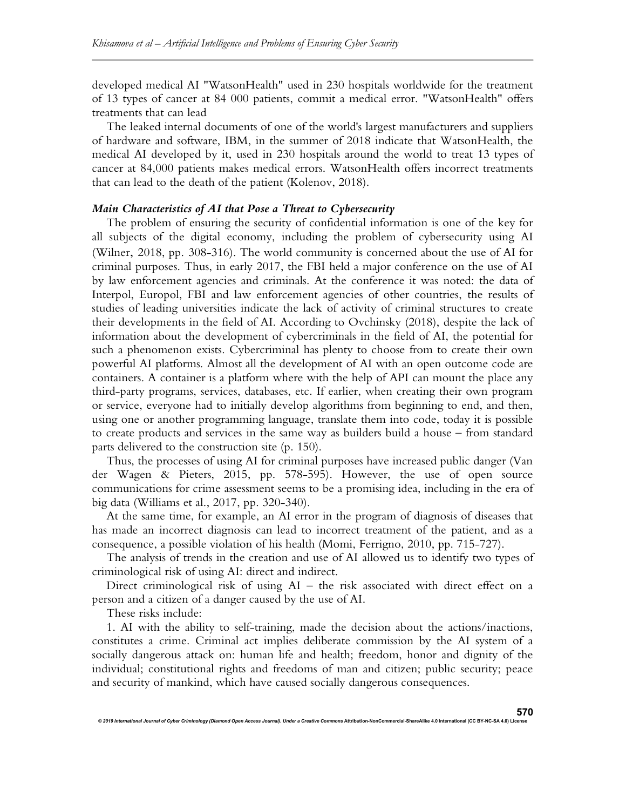developed medical AI "WatsonHealth" used in 230 hospitals worldwide for the treatment of 13 types of cancer at 84 000 patients, commit a medical error. "WatsonHealth" offers treatments that can lead

The leaked internal documents of one of the world's largest manufacturers and suppliers of hardware and software, IBM, in the summer of 2018 indicate that WatsonHealth, the medical AI developed by it, used in 230 hospitals around the world to treat 13 types of cancer at 84,000 patients makes medical errors. WatsonHealth offers incorrect treatments that can lead to the death of the patient (Kolenov, 2018).

# Main Characteristics of AI that Pose a Threat to Cybersecurity

The problem of ensuring the security of confidential information is one of the key for all subjects of the digital economy, including the problem of cybersecurity using AI (Wilner, 2018, pp. 308-316). The world community is concerned about the use of AI for criminal purposes. Thus, in early 2017, the FBI held a major conference on the use of AI by law enforcement agencies and criminals. At the conference it was noted: the data of Interpol, Europol, FBI and law enforcement agencies of other countries, the results of studies of leading universities indicate the lack of activity of criminal structures to create their developments in the field of AI. According to Ovchinsky (2018), despite the lack of information about the development of cybercriminals in the field of AI, the potential for such a phenomenon exists. Cybercriminal has plenty to choose from to create their own powerful AI platforms. Almost all the development of AI with an open outcome code are containers. A container is a platform where with the help of API can mount the place any third-party programs, services, databases, etc. If earlier, when creating their own program or service, everyone had to initially develop algorithms from beginning to end, and then, using one or another programming language, translate them into code, today it is possible to create products and services in the same way as builders build a house – from standard parts delivered to the construction site (p. 150).

Thus, the processes of using AI for criminal purposes have increased public danger (Van der Wagen & Pieters, 2015, pp. 578-595). However, the use of open source communications for crime assessment seems to be a promising idea, including in the era of big data (Williams et al., 2017, pp. 320-340).

At the same time, for example, an AI error in the program of diagnosis of diseases that has made an incorrect diagnosis can lead to incorrect treatment of the patient, and as a consequence, a possible violation of his health (Momi, Ferrigno, 2010, pp. 715-727).

The analysis of trends in the creation and use of AI allowed us to identify two types of criminological risk of using AI: direct and indirect.

Direct criminological risk of using AI – the risk associated with direct effect on a person and a citizen of a danger caused by the use of AI.

These risks include:

© 2019 International Journal of Cyber Criminology (Diamond Open Access Journal). Under a Creative Con

1. AI with the ability to self-training, made the decision about the actions/inactions, constitutes a crime. Criminal act implies deliberate commission by the AI system of a socially dangerous attack on: human life and health; freedom, honor and dignity of the individual; constitutional rights and freedoms of man and citizen; public security; peace and security of mankind, which have caused socially dangerous consequences.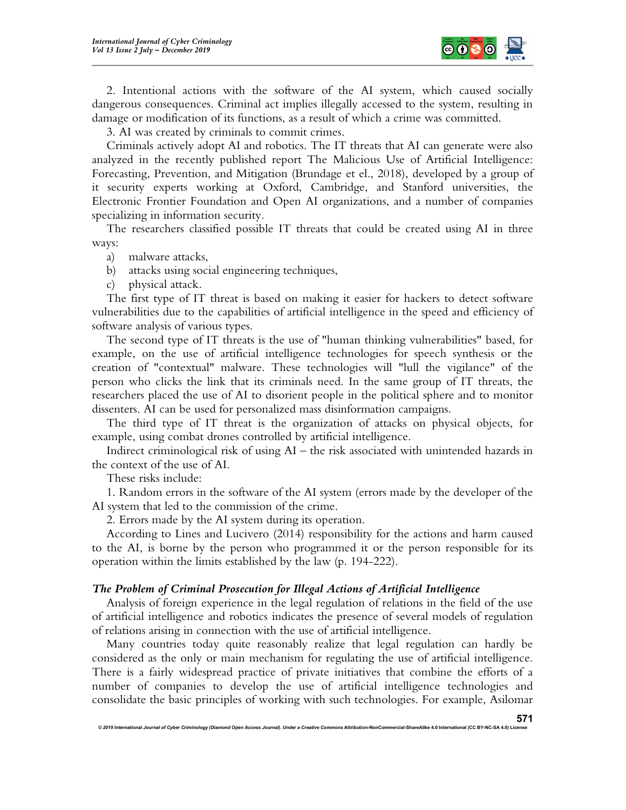

2. Intentional actions with the software of the AI system, which caused socially dangerous consequences. Criminal act implies illegally accessed to the system, resulting in damage or modification of its functions, as a result of which a crime was committed.

3. AI was created by criminals to commit crimes.

Criminals actively adopt AI and robotics. The IT threats that AI can generate were also analyzed in the recently published report The Malicious Use of Artificial Intelligence: Forecasting, Prevention, and Mitigation (Brundage et el., 2018), developed by a group of it security experts working at Oxford, Cambridge, and Stanford universities, the Electronic Frontier Foundation and Open AI organizations, and a number of companies specializing in information security.

The researchers classified possible IT threats that could be created using AI in three ways:

- a) malware attacks,
- b) attacks using social engineering techniques,
- c) physical attack.

The first type of IT threat is based on making it easier for hackers to detect software vulnerabilities due to the capabilities of artificial intelligence in the speed and efficiency of software analysis of various types.

The second type of IT threats is the use of "human thinking vulnerabilities" based, for example, on the use of artificial intelligence technologies for speech synthesis or the creation of "contextual" malware. These technologies will "lull the vigilance" of the person who clicks the link that its criminals need. In the same group of IT threats, the researchers placed the use of AI to disorient people in the political sphere and to monitor dissenters. AI can be used for personalized mass disinformation campaigns.

The third type of IT threat is the organization of attacks on physical objects, for example, using combat drones controlled by artificial intelligence.

Indirect criminological risk of using AI – the risk associated with unintended hazards in the context of the use of AI.

These risks include:

1. Random errors in the software of the AI system (errors made by the developer of the AI system that led to the commission of the crime.

2. Errors made by the AI system during its operation.

According to Lines and Lucivero (2014) responsibility for the actions and harm caused to the AI, is borne by the person who programmed it or the person responsible for its operation within the limits established by the law (p. 194-222).

## The Problem of Criminal Prosecution for Illegal Actions of Artificial Intelligence

Analysis of foreign experience in the legal regulation of relations in the field of the use of artificial intelligence and robotics indicates the presence of several models of regulation of relations arising in connection with the use of artificial intelligence.

Many countries today quite reasonably realize that legal regulation can hardly be considered as the only or main mechanism for regulating the use of artificial intelligence. There is a fairly widespread practice of private initiatives that combine the efforts of a number of companies to develop the use of artificial intelligence technologies and consolidate the basic principles of working with such technologies. For example, Asilomar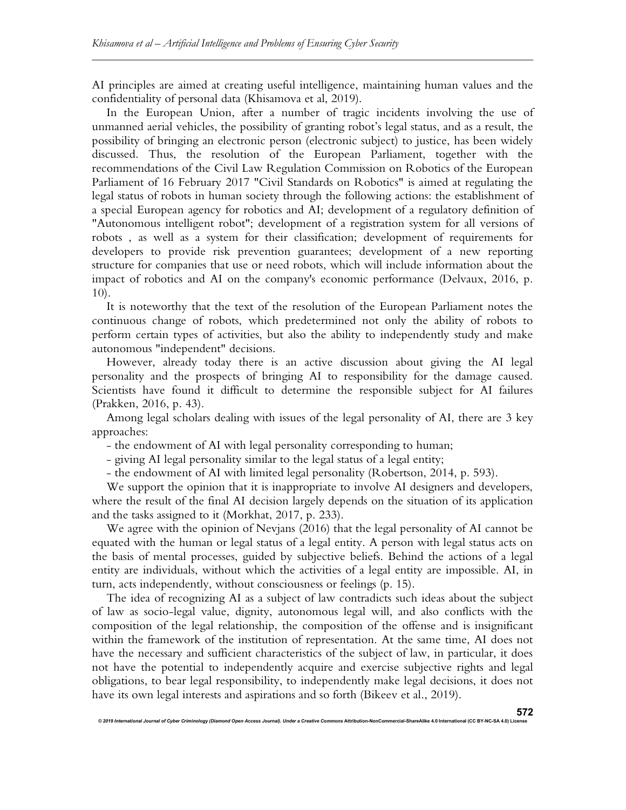AI principles are aimed at creating useful intelligence, maintaining human values and the confidentiality of personal data (Khisamova et al, 2019).

In the European Union, after a number of tragic incidents involving the use of unmanned aerial vehicles, the possibility of granting robot's legal status, and as a result, the possibility of bringing an electronic person (electronic subject) to justice, has been widely discussed. Thus, the resolution of the European Parliament, together with the recommendations of the Civil Law Regulation Commission on Robotics of the European Parliament of 16 February 2017 "Civil Standards on Robotics" is aimed at regulating the legal status of robots in human society through the following actions: the establishment of a special European agency for robotics and AI; development of a regulatory definition of "Autonomous intelligent robot"; development of a registration system for all versions of robots , as well as a system for their classification; development of requirements for developers to provide risk prevention guarantees; development of a new reporting structure for companies that use or need robots, which will include information about the impact of robotics and AI on the company's economic performance (Delvaux, 2016, p. 10).

It is noteworthy that the text of the resolution of the European Parliament notes the continuous change of robots, which predetermined not only the ability of robots to perform certain types of activities, but also the ability to independently study and make autonomous "independent" decisions.

However, already today there is an active discussion about giving the AI legal personality and the prospects of bringing AI to responsibility for the damage caused. Scientists have found it difficult to determine the responsible subject for AI failures (Prakken, 2016, p. 43).

Among legal scholars dealing with issues of the legal personality of AI, there are 3 key approaches:

- the endowment of AI with legal personality corresponding to human;

- giving AI legal personality similar to the legal status of a legal entity;

© 2019 International Journal of Cyber Criminology (Diamond Open Access Journal). Under a Creative Comr

- the endowment of AI with limited legal personality (Robertson, 2014, p. 593).

We support the opinion that it is inappropriate to involve AI designers and developers, where the result of the final AI decision largely depends on the situation of its application and the tasks assigned to it (Morkhat, 2017, p. 233).

We agree with the opinion of Nevjans (2016) that the legal personality of AI cannot be equated with the human or legal status of a legal entity. A person with legal status acts on the basis of mental processes, guided by subjective beliefs. Behind the actions of a legal entity are individuals, without which the activities of a legal entity are impossible. AI, in turn, acts independently, without consciousness or feelings (p. 15).

The idea of recognizing AI as a subject of law contradicts such ideas about the subject of law as socio-legal value, dignity, autonomous legal will, and also conflicts with the composition of the legal relationship, the composition of the offense and is insignificant within the framework of the institution of representation. At the same time, AI does not have the necessary and sufficient characteristics of the subject of law, in particular, it does not have the potential to independently acquire and exercise subjective rights and legal obligations, to bear legal responsibility, to independently make legal decisions, it does not have its own legal interests and aspirations and so forth (Bikeev et al., 2019).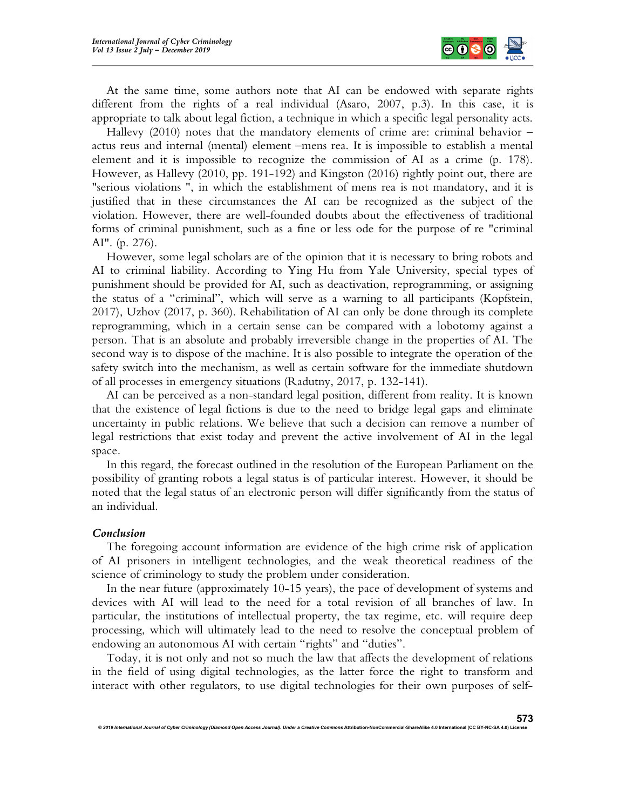

At the same time, some authors note that AI can be endowed with separate rights different from the rights of a real individual (Asaro, 2007, p.3). In this case, it is appropriate to talk about legal fiction, a technique in which a specific legal personality acts.

Hallevy  $(2010)$  notes that the mandatory elements of crime are: criminal behavior – actus reus and internal (mental) element –mens rea. It is impossible to establish a mental element and it is impossible to recognize the commission of AI as a crime (p. 178). However, as Hallevy (2010, pp. 191-192) and Kingston (2016) rightly point out, there are "serious violations ", in which the establishment of mens rea is not mandatory, and it is justified that in these circumstances the AI can be recognized as the subject of the violation. However, there are well-founded doubts about the effectiveness of traditional forms of criminal punishment, such as a fine or less ode for the purpose of re "criminal AI". (p. 276).

However, some legal scholars are of the opinion that it is necessary to bring robots and AI to criminal liability. According to Ying Hu from Yale University, special types of punishment should be provided for AI, such as deactivation, reprogramming, or assigning the status of a "criminal", which will serve as a warning to all participants (Kopfstein, 2017), Uzhov (2017, p. 360). Rehabilitation of AI can only be done through its complete reprogramming, which in a certain sense can be compared with a lobotomy against a person. That is an absolute and probably irreversible change in the properties of AI. The second way is to dispose of the machine. It is also possible to integrate the operation of the safety switch into the mechanism, as well as certain software for the immediate shutdown of all processes in emergency situations (Radutny, 2017, p. 132-141).

AI can be perceived as a non-standard legal position, different from reality. It is known that the existence of legal fictions is due to the need to bridge legal gaps and eliminate uncertainty in public relations. We believe that such a decision can remove a number of legal restrictions that exist today and prevent the active involvement of AI in the legal space.

In this regard, the forecast outlined in the resolution of the European Parliament on the possibility of granting robots a legal status is of particular interest. However, it should be noted that the legal status of an electronic person will differ significantly from the status of an individual.

### Conclusion

The foregoing account information are evidence of the high crime risk of application of AI prisoners in intelligent technologies, and the weak theoretical readiness of the science of criminology to study the problem under consideration.

In the near future (approximately 10-15 years), the pace of development of systems and devices with AI will lead to the need for a total revision of all branches of law. In particular, the institutions of intellectual property, the tax regime, etc. will require deep processing, which will ultimately lead to the need to resolve the conceptual problem of endowing an autonomous AI with certain "rights" and "duties".

Today, it is not only and not so much the law that affects the development of relations in the field of using digital technologies, as the latter force the right to transform and interact with other regulators, to use digital technologies for their own purposes of self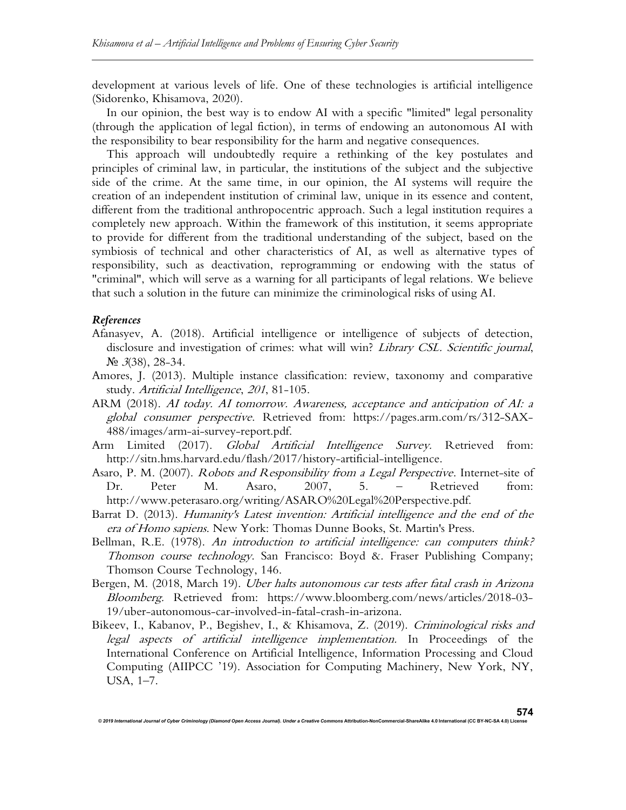development at various levels of life. One of these technologies is artificial intelligence (Sidorenko, Khisamova, 2020).

In our opinion, the best way is to endow AI with a specific "limited" legal personality (through the application of legal fiction), in terms of endowing an autonomous AI with the responsibility to bear responsibility for the harm and negative consequences.

This approach will undoubtedly require a rethinking of the key postulates and principles of criminal law, in particular, the institutions of the subject and the subjective side of the crime. At the same time, in our opinion, the AI systems will require the creation of an independent institution of criminal law, unique in its essence and content, different from the traditional anthropocentric approach. Such a legal institution requires a completely new approach. Within the framework of this institution, it seems appropriate to provide for different from the traditional understanding of the subject, based on the symbiosis of technical and other characteristics of AI, as well as alternative types of responsibility, such as deactivation, reprogramming or endowing with the status of "criminal", which will serve as a warning for all participants of legal relations. We believe that such a solution in the future can minimize the criminological risks of using AI.

# References

- Afanasyev, A. (2018). Artificial intelligence or intelligence of subjects of detection, disclosure and investigation of crimes: what will win? Library CSL. Scientific journal,  $N_2$  3(38), 28-34.
- Amores, J. (2013). Multiple instance classification: review, taxonomy and comparative study. Artificial Intelligence, 201, 81-105.
- ARM (2018). AI today. AI tomorrow. Awareness, acceptance and anticipation of AI: a global consumer perspective. Retrieved from: https://pages.arm.com/rs/312-SAX-488/images/arm-ai-survey-report.pdf.
- Arm Limited (2017). Global Artificial Intelligence Survey. Retrieved from: http://sitn.hms.harvard.edu/flash/2017/history-artificial-intelligence.
- Asaro, P. M. (2007). Robots and Responsibility from a Legal Perspective. Internet-site of Dr. Peter M. Asaro, 2007, 5. – Retrieved from: http://www.peterasaro.org/writing/ASARO%20Legal%20Perspective.pdf.
- Barrat D. (2013). Humanity's Latest invention: Artificial intelligence and the end of the era of Homo sapiens. New York: Thomas Dunne Books, St. Martin's Press.
- Bellman, R.E. (1978). An introduction to artificial intelligence: can computers think? Thomson course technology. San Francisco: Boyd &. Fraser Publishing Company; Thomson Course Technology, 146.
- Bergen, M. (2018, March 19). Uber halts autonomous car tests after fatal crash in Arizona Bloomberg. Retrieved from: https://www.bloomberg.com/news/articles/2018-03- 19/uber-autonomous-car-involved-in-fatal-crash-in-arizona.
- Bikeev, I., Kabanov, P., Begishev, I., & Khisamova, Z. (2019). Criminological risks and legal aspects of artificial intelligence implementation. In Proceedings of the International Conference on Artificial Intelligence, Information Processing and Cloud Computing (AIIPCC '19). Association for Computing Machinery, New York, NY, USA, 1–7.

© 2019 International Journal of Cyber Criminology (Diamond Open Access Journal). Under a Creative Comr

574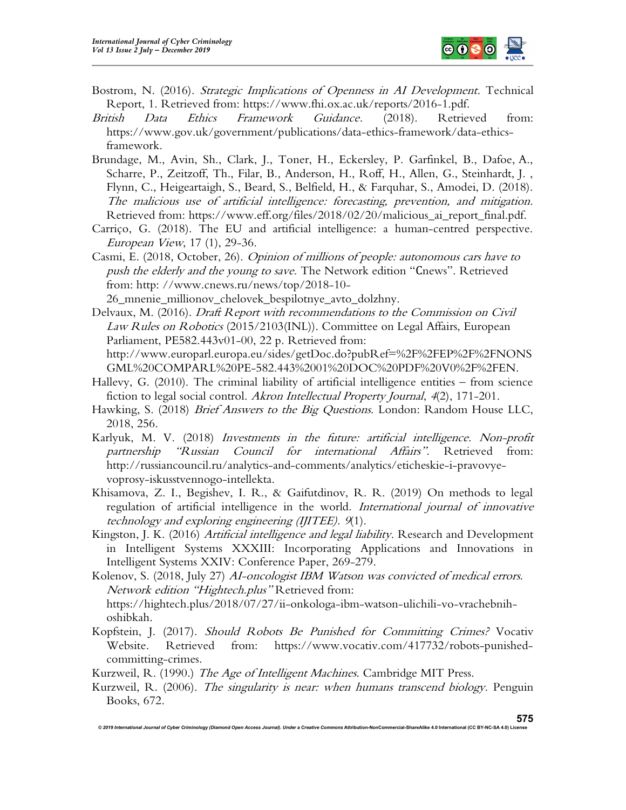

- Bostrom, N. (2016). *Strategic Implications of Openness in AI Development*. Technical Report, 1. Retrieved from: https://www.fhi.ox.ac.uk/reports/2016-1.pdf.
- British Data Ethics Framework Guidance. (2018). Retrieved from: https://www.gov.uk/government/publications/data-ethics-framework/data-ethicsframework.
- Brundage, M., Avin, Sh., Clark, J., Toner, H., Eckersley, P. Garfinkel, B., Dafoe, A., Scharre, P., Zeitzoff, Th., Filar, B., Anderson, H., Roff, H., Allen, G., Steinhardt, J. , Flynn, C., Heigeartaigh, S., Beard, S., Belfield, H., & Farquhar, S., Amodei, D. (2018). The malicious use of artificial intelligence: forecasting, prevention, and mitigation. Retrieved from: https://www.eff.org/files/2018/02/20/malicious\_ai\_report\_final.pdf.
- Carriço, G. (2018). The EU and artificial intelligence: a human-centred perspective. European View, 17 (1), 29-36.
- Casmi, E. (2018, October, 26). Opinion of millions of people: autonomous cars have to push the elderly and the young to save. The Network edition "Cnews". Retrieved from: http: //www.cnews.ru/news/top/2018-10-

26\_mnenie\_millionov\_chelovek\_bespilotnye\_avto\_dolzhny.

Delvaux, M. (2016). *Draft Report with recommendations to the Commission on Civil* Law Rules on Robotics (2015/2103(INL)). Committee on Legal Affairs, European Parliament, PE582.443v01-00, 22 p. Retrieved from: http://www.europarl.europa.eu/sides/getDoc.do?pubRef=%2F%2FEP%2F%2FNONS GML%20COMPARL%20PE-582.443%2001%20DOC%20PDF%20V0%2F%2FEN.

- Hallevy, G. (2010). The criminal liability of artificial intelligence entities from science fiction to legal social control. Akron Intellectual Property Journal, 4(2), 171-201.
- Hawking, S. (2018) *Brief Answers to the Big Questions.* London: Random House LLC, 2018, 256.
- Karlyuk, M. V. (2018) Investments in the future: artificial intelligence. Non-profit partnership "Russian Council for international Affairs". Retrieved from: http://russiancouncil.ru/analytics-and-comments/analytics/eticheskie-i-pravovyevoprosy-iskusstvennogo-intellekta.
- Khisamova, Z. I., Begishev, I. R., & Gaifutdinov, R. R. (2019) On methods to legal regulation of artificial intelligence in the world. International journal of innovative technology and exploring engineering (IJITEE). 9(1).
- Kingston, J. K. (2016) Artificial intelligence and legal liability. Research and Development in Intelligent Systems XXXIII: Incorporating Applications and Innovations in Intelligent Systems XXIV: Conference Paper, 269-279.

Kolenov, S. (2018, July 27) AI-oncologist IBM Watson was convicted of medical errors. Network edition "Hightech.plus" Retrieved from: https://hightech.plus/2018/07/27/ii-onkologa-ibm-watson-ulichili-vo-vrachebnihoshibkah.

Kopfstein, J. (2017). Should Robots Be Punished for Committing Crimes? Vocativ Website. Retrieved from: https://www.vocativ.com/417732/robots-punishedcommitting-crimes.

Kurzweil, R. (1990.) The Age of Intelligent Machines. Cambridge MIT Press.

Kurzweil, R. (2006). The singularity is near: when humans transcend biology. Penguin Books, 672.

© 2019 International Journal of Cyber Criminology (Diamond Open Access Journal). Under a Creative Commons Attribution-NonCommercial-ShareAlike 4.0 International (CC BY-NC-SA 4.0) Licen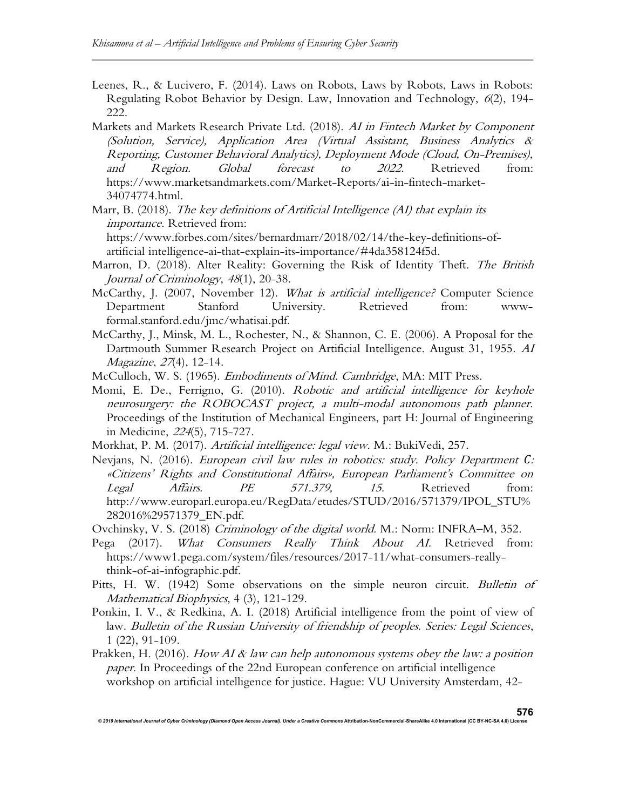- Leenes, R., & Lucivero, F. (2014). Laws on Robots, Laws by Robots, Laws in Robots: Regulating Robot Behavior by Design. Law, Innovation and Technology, 6(2), 194- 222.
- Markets and Markets Research Private Ltd. (2018). AI in Fintech Market by Component (Solution, Service), Application Area (Virtual Assistant, Business Analytics & Reporting, Customer Behavioral Analytics), Deployment Mode (Cloud, On-Premises), and Region. Global forecast to 2022. Retrieved from: https://www.marketsandmarkets.com/Market-Reports/ai-in-fintech-market-34074774.html.
- Marr, B. (2018). The key definitions of Artificial Intelligence (AI) that explain its importance. Retrieved from: https://www.forbes.com/sites/bernardmarr/2018/02/14/the-key-definitions-ofartificial intelligence-ai-that-explain-its-importance/#4da358124f5d.
- Marron, D. (2018). Alter Reality: Governing the Risk of Identity Theft. The British Journal of Criminology, 48(1), 20-38.
- McCarthy, J. (2007, November 12). What is artificial intelligence? Computer Science Department Stanford University. Retrieved from: wwwformal.stanford.edu/jmc/whatisai.pdf.
- McCarthy, J., Minsk, M. L., Rochester, N., & Shannon, C. E. (2006). A Proposal for the Dartmouth Summer Research Project on Artificial Intelligence. August 31, 1955. AI Magazine, 27(4), 12-14.
- McCulloch, W. S. (1965). Embodiments of Mind. Cambridge, MA: MIT Press.
- Momi, E. De., Ferrigno, G. (2010). Robotic and artificial intelligence for keyhole neurosurgery: the ROBOCAST project, a multi-modal autonomous path planner. Proceedings of the Institution of Mechanical Engineers, part H: Journal of Engineering in Medicine, 224(5), 715-727.
- Morkhat, P. M. (2017). Artificial intelligence: legal view. M.: BukiVedi, 257.
- Nevjans, N. (2016). European civil law rules in robotics: study. Policy Department C: «Citizens' Rights and Constitutional Affairs», European Parliament's Committee on Legal Affairs. PE 571.379, 15. Retrieved from: http://www.europarl.europa.eu/RegData/etudes/STUD/2016/571379/IPOL\_STU% 282016%29571379\_EN.pdf.
- Ovchinsky, V. S. (2018) Criminology of the digital world. M.: Norm: INFRA–M, 352.
- Pega (2017). What Consumers Really Think About AI. Retrieved from: https://www1.pega.com/system/files/resources/2017-11/what-consumers-reallythink-of-ai-infographic.pdf.
- Pitts, H. W. (1942) Some observations on the simple neuron circuit. Bulletin of Mathematical Biophysics, 4 (3), 121-129.
- Ponkin, I. V., & Redkina, A. I. (2018) Artificial intelligence from the point of view of law. Bulletin of the Russian University of friendship of peoples. Series: Legal Sciences, 1 (22), 91-109.
- Prakken, H. (2016). How AI & law can help autonomous systems obey the law: a position paper. In Proceedings of the 22nd European conference on artificial intelligence workshop on artificial intelligence for justice. Hague: VU University Amsterdam, 42-

© 2019 International Journal of Cyber Criminology (Diamond Open Access Journal). Under a Creative Commons Attribution-NonCommercial-ShareAlike 4.0 International (CC BY-NC-SA 4.0) L